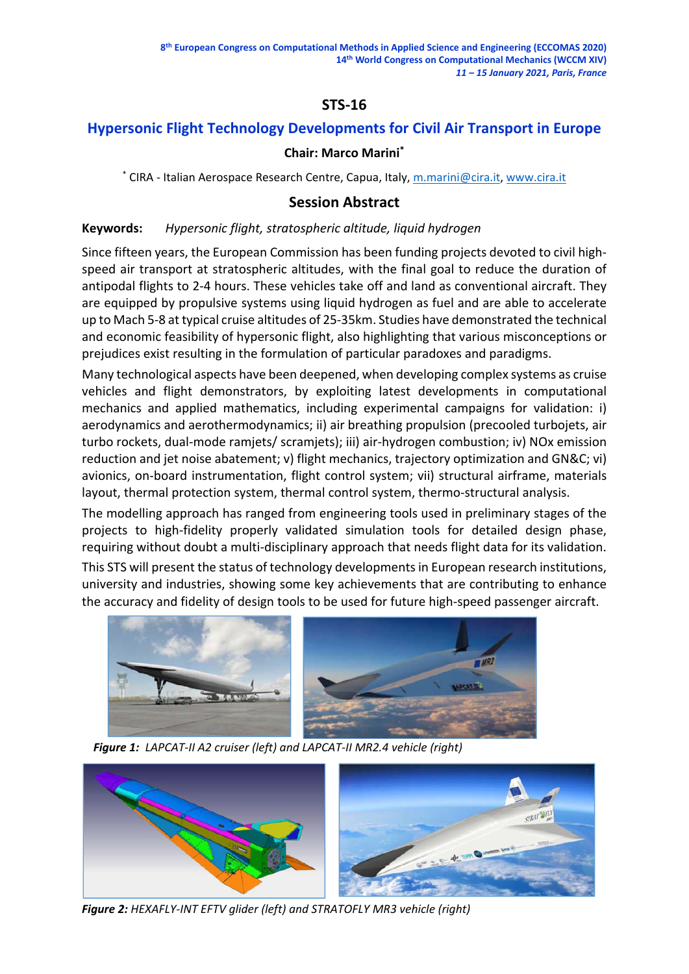# **STS‐16**

# **Hypersonic Flight Technology Developments for Civil Air Transport in Europe**

### **Chair: Marco Marini\***

\* CIRA ‐ Italian Aerospace Research Centre, Capua, Italy, m.marini@cira.it, www.cira.it

### **Session Abstract**

#### **Keywords:** *Hypersonic flight, stratospheric altitude, liquid hydrogen*

Since fifteen years, the European Commission has been funding projects devoted to civil high‐ speed air transport at stratospheric altitudes, with the final goal to reduce the duration of antipodal flights to 2‐4 hours. These vehicles take off and land as conventional aircraft. They are equipped by propulsive systems using liquid hydrogen as fuel and are able to accelerate up to Mach 5‐8 at typical cruise altitudes of 25‐35km. Studies have demonstrated the technical and economic feasibility of hypersonic flight, also highlighting that various misconceptions or prejudices exist resulting in the formulation of particular paradoxes and paradigms.

Many technological aspects have been deepened, when developing complex systems as cruise vehicles and flight demonstrators, by exploiting latest developments in computational mechanics and applied mathematics, including experimental campaigns for validation: i) aerodynamics and aerothermodynamics; ii) air breathing propulsion (precooled turbojets, air turbo rockets, dual‐mode ramjets/ scramjets); iii) air‐hydrogen combustion; iv) NOx emission reduction and jet noise abatement; v) flight mechanics, trajectory optimization and GN&C; vi) avionics, on‐board instrumentation, flight control system; vii) structural airframe, materials layout, thermal protection system, thermal control system, thermo‐structural analysis.

The modelling approach has ranged from engineering tools used in preliminary stages of the projects to high-fidelity properly validated simulation tools for detailed design phase, requiring without doubt a multi‐disciplinary approach that needs flight data for its validation.

This STS will present the status of technology developmentsin European research institutions, university and industries, showing some key achievements that are contributing to enhance the accuracy and fidelity of design tools to be used for future high‐speed passenger aircraft.



 *Figure 1: LAPCAT‐II A2 cruiser (left) and LAPCAT‐II MR2.4 vehicle (right)*



*Figure 2: HEXAFLY‐INT EFTV glider (left) and STRATOFLY MR3 vehicle (right)*